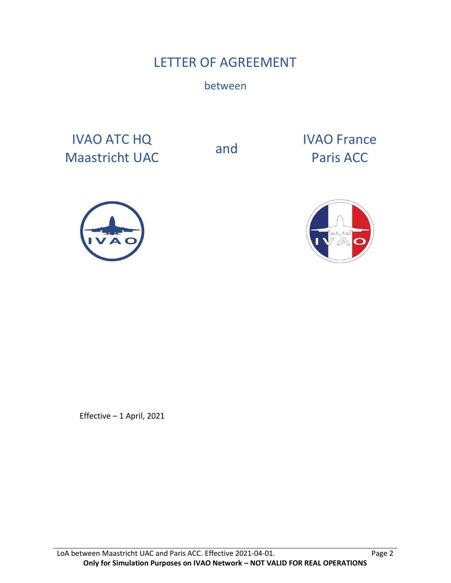# LETTER OF AGREEMENT

between

IVAO ATC HQ IVAO ATC HQ<br>
Maastricht UAC and Paris ACC

Paris ACC





Effective – 1 April, 2021

LoA between Maastricht UAC and Paris ACC. Effective 2021-04-01. Page 2 **Only for Simulation Purposes on IVAO Network – NOT VALID FOR REAL OPERATIONS**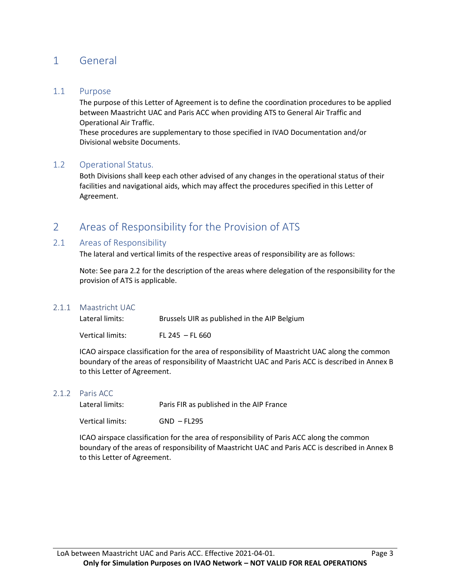# 1 General

### 1.1 Purpose

The purpose of this Letter of Agreement is to define the coordination procedures to be applied between Maastricht UAC and Paris ACC when providing ATS to General Air Traffic and Operational Air Traffic.

These procedures are supplementary to those specified in IVAO Documentation and/or Divisional website Documents.

### 1.2 Operational Status.

Both Divisions shall keep each other advised of any changes in the operational status of their facilities and navigational aids, which may affect the procedures specified in this Letter of Agreement.

# 2 Areas of Responsibility for the Provision of ATS

### 2.1 Areas of Responsibility

The lateral and vertical limits of the respective areas of responsibility are as follows:

Note: See para 2.2 for the description of the areas where delegation of the responsibility for the provision of ATS is applicable.

#### 2.1.1 Maastricht UAC

| Lateral limits:  | Brussels UIR as published in the AIP Belgium |
|------------------|----------------------------------------------|
| Vertical limits: | $FL 245 - FL 660$                            |

ICAO airspace classification for the area of responsibility of Maastricht UAC along the common boundary of the areas of responsibility of Maastricht UAC and Paris ACC is described in Annex B to this Letter of Agreement.

#### 2.1.2 Paris ACC

Lateral limits: Paris FIR as published in the AIP France

Vertical limits: GND – FL295

ICAO airspace classification for the area of responsibility of Paris ACC along the common boundary of the areas of responsibility of Maastricht UAC and Paris ACC is described in Annex B to this Letter of Agreement.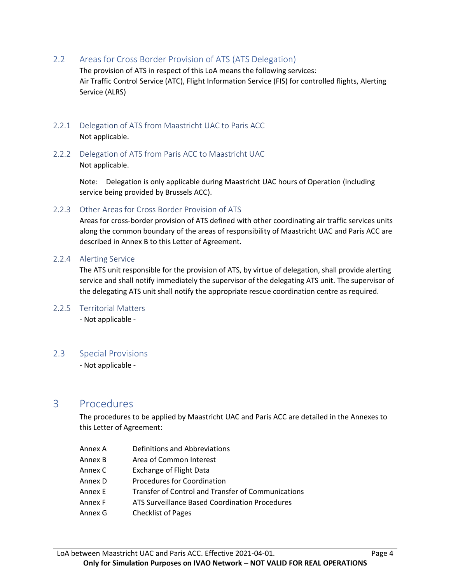2.2 Areas for Cross Border Provision of ATS (ATS Delegation)

The provision of ATS in respect of this LoA means the following services: Air Traffic Control Service (ATC), Flight Information Service (FIS) for controlled flights, Alerting Service (ALRS)

- 2.2.1 Delegation of ATS from Maastricht UAC to Paris ACC Not applicable.
- 2.2.2 Delegation of ATS from Paris ACC to Maastricht UAC Not applicable.

Note: Delegation is only applicable during Maastricht UAC hours of Operation (including service being provided by Brussels ACC).

2.2.3 Other Areas for Cross Border Provision of ATS

Areas for cross-border provision of ATS defined with other coordinating air traffic services units along the common boundary of the areas of responsibility of Maastricht UAC and Paris ACC are described in Annex B to this Letter of Agreement.

2.2.4 Alerting Service

The ATS unit responsible for the provision of ATS, by virtue of delegation, shall provide alerting service and shall notify immediately the supervisor of the delegating ATS unit. The supervisor of the delegating ATS unit shall notify the appropriate rescue coordination centre as required.

2.2.5 Territorial Matters

- Not applicable -

### 2.3 Special Provisions

- Not applicable -

## 3 Procedures

The procedures to be applied by Maastricht UAC and Paris ACC are detailed in the Annexes to this Letter of Agreement:

- Annex A Definitions and Abbreviations
- Annex B Area of Common Interest
- Annex C Exchange of Flight Data
- Annex D Procedures for Coordination
- Annex E Transfer of Control and Transfer of Communications
- Annex F ATS Surveillance Based Coordination Procedures
- Annex G Checklist of Pages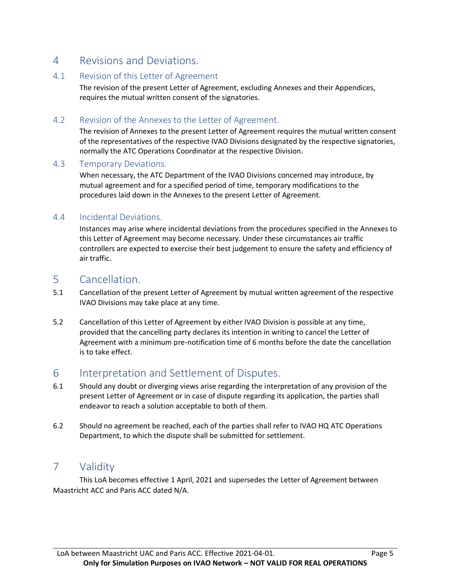# 4 Revisions and Deviations.

### 4.1 Revision of this Letter of Agreement

The revision of the present Letter of Agreement, excluding Annexes and their Appendices, requires the mutual written consent of the signatories.

### 4.2 Revision of the Annexes to the Letter of Agreement.

The revision of Annexes to the present Letter of Agreement requires the mutual written consent of the representatives of the respective IVAO Divisions designated by the respective signatories, normally the ATC Operations Coordinator at the respective Division.

### 4.3 Temporary Deviations.

When necessary, the ATC Department of the IVAO Divisions concerned may introduce, by mutual agreement and for a specified period of time, temporary modifications to the procedures laid down in the Annexes to the present Letter of Agreement.

### 4.4 Incidental Deviations.

Instances may arise where incidental deviations from the procedures specified in the Annexes to this Letter of Agreement may become necessary. Under these circumstances air traffic controllers are expected to exercise their best judgement to ensure the safety and efficiency of air traffic.

## 5 Cancellation.

- 5.1 Cancellation of the present Letter of Agreement by mutual written agreement of the respective IVAO Divisions may take place at any time.
- 5.2 Cancellation of this Letter of Agreement by either IVAO Division is possible at any time, provided that the cancelling party declares its intention in writing to cancel the Letter of Agreement with a minimum pre-notification time of 6 months before the date the cancellation is to take effect.

# 6 Interpretation and Settlement of Disputes.

- 6.1 Should any doubt or diverging views arise regarding the interpretation of any provision of the present Letter of Agreement or in case of dispute regarding its application, the parties shall endeavor to reach a solution acceptable to both of them.
- 6.2 Should no agreement be reached, each of the parties shall refer to IVAO HQ ATC Operations Department, to which the dispute shall be submitted for settlement.

# 7 Validity

This LoA becomes effective 1 April, 2021 and supersedes the Letter of Agreement between Maastricht ACC and Paris ACC dated N/A.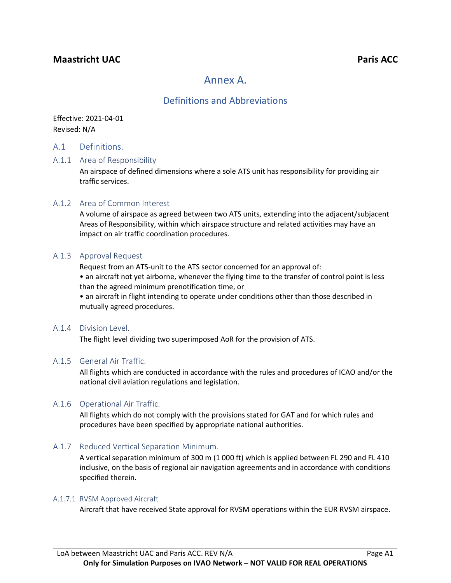## **Maastricht** UAC **Paris ACC Paris ACC**

# Annex A.

### Definitions and Abbreviations

Effective: 2021-04-01 Revised: N/A

### A.1 Definitions.

#### A.1.1 Area of Responsibility

An airspace of defined dimensions where a sole ATS unit has responsibility for providing air traffic services.

#### A.1.2 Area of Common Interest

A volume of airspace as agreed between two ATS units, extending into the adjacent/subjacent Areas of Responsibility, within which airspace structure and related activities may have an impact on air traffic coordination procedures.

#### A.1.3 Approval Request

Request from an ATS-unit to the ATS sector concerned for an approval of:

• an aircraft not yet airborne, whenever the flying time to the transfer of control point is less than the agreed minimum prenotification time, or

• an aircraft in flight intending to operate under conditions other than those described in mutually agreed procedures.

#### A.1.4 Division Level.

The flight level dividing two superimposed AoR for the provision of ATS.

#### A.1.5 General Air Traffic.

All flights which are conducted in accordance with the rules and procedures of ICAO and/or the national civil aviation regulations and legislation.

### A.1.6 Operational Air Traffic.

All flights which do not comply with the provisions stated for GAT and for which rules and procedures have been specified by appropriate national authorities.

### A.1.7 Reduced Vertical Separation Minimum.

A vertical separation minimum of 300 m (1 000 ft) which is applied between FL 290 and FL 410 inclusive, on the basis of regional air navigation agreements and in accordance with conditions specified therein.

#### A.1.7.1 RVSM Approved Aircraft

Aircraft that have received State approval for RVSM operations within the EUR RVSM airspace.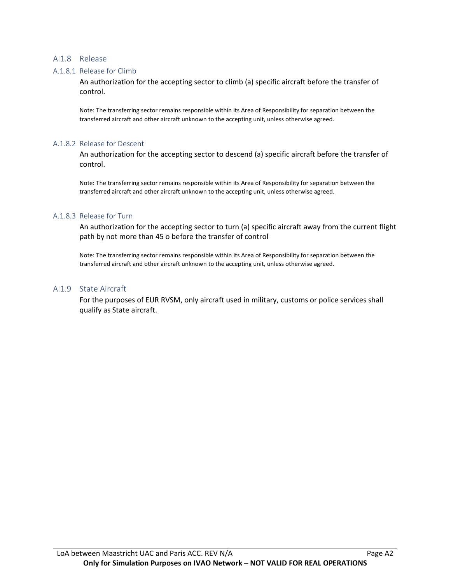#### A.1.8 Release

#### A.1.8.1 Release for Climb

An authorization for the accepting sector to climb (a) specific aircraft before the transfer of control.

Note: The transferring sector remains responsible within its Area of Responsibility for separation between the transferred aircraft and other aircraft unknown to the accepting unit, unless otherwise agreed.

#### A.1.8.2 Release for Descent

An authorization for the accepting sector to descend (a) specific aircraft before the transfer of control.

Note: The transferring sector remains responsible within its Area of Responsibility for separation between the transferred aircraft and other aircraft unknown to the accepting unit, unless otherwise agreed.

#### A.1.8.3 Release for Turn

An authorization for the accepting sector to turn (a) specific aircraft away from the current flight path by not more than 45 o before the transfer of control

Note: The transferring sector remains responsible within its Area of Responsibility for separation between the transferred aircraft and other aircraft unknown to the accepting unit, unless otherwise agreed.

#### A.1.9 State Aircraft

For the purposes of EUR RVSM, only aircraft used in military, customs or police services shall qualify as State aircraft.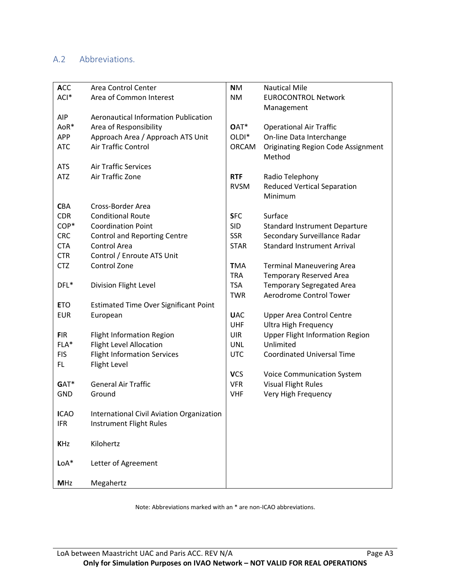### A.2 Abbreviations.

| <b>ACC</b>  | Area Control Center                          | <b>NM</b>         | <b>Nautical Mile</b>                      |
|-------------|----------------------------------------------|-------------------|-------------------------------------------|
| ACI*        | Area of Common Interest                      | <b>NM</b>         | <b>EUROCONTROL Network</b>                |
|             |                                              |                   | Management                                |
| <b>AIP</b>  | <b>Aeronautical Information Publication</b>  |                   |                                           |
| AoR*        | Area of Responsibility                       | OAT*              | <b>Operational Air Traffic</b>            |
| <b>APP</b>  | Approach Area / Approach ATS Unit            | OLDI <sup>*</sup> | On-line Data Interchange                  |
| <b>ATC</b>  | Air Traffic Control                          | <b>ORCAM</b>      | <b>Originating Region Code Assignment</b> |
|             |                                              |                   | Method                                    |
| <b>ATS</b>  | <b>Air Traffic Services</b>                  |                   |                                           |
| <b>ATZ</b>  | Air Traffic Zone                             | <b>RTF</b>        | Radio Telephony                           |
|             |                                              | <b>RVSM</b>       | <b>Reduced Vertical Separation</b>        |
|             |                                              |                   | Minimum                                   |
| <b>CBA</b>  | Cross-Border Area                            |                   |                                           |
| <b>CDR</b>  | <b>Conditional Route</b>                     | <b>SFC</b>        | Surface                                   |
| COP*        | <b>Coordination Point</b>                    | <b>SID</b>        | <b>Standard Instrument Departure</b>      |
| <b>CRC</b>  | <b>Control and Reporting Centre</b>          | <b>SSR</b>        | Secondary Surveillance Radar              |
| <b>CTA</b>  | Control Area                                 | <b>STAR</b>       | <b>Standard Instrument Arrival</b>        |
| <b>CTR</b>  | Control / Enroute ATS Unit                   |                   |                                           |
| <b>CTZ</b>  | Control Zone                                 | <b>TMA</b>        | <b>Terminal Maneuvering Area</b>          |
|             |                                              | <b>TRA</b>        | <b>Temporary Reserved Area</b>            |
| DFL*        | Division Flight Level                        | <b>TSA</b>        | <b>Temporary Segregated Area</b>          |
|             |                                              | <b>TWR</b>        | Aerodrome Control Tower                   |
| <b>ETO</b>  | <b>Estimated Time Over Significant Point</b> |                   |                                           |
| <b>EUR</b>  | European                                     | <b>UAC</b>        | <b>Upper Area Control Centre</b>          |
|             |                                              | UHF               | <b>Ultra High Frequency</b>               |
| <b>FIR</b>  | <b>Flight Information Region</b>             | <b>UIR</b>        | <b>Upper Flight Information Region</b>    |
| FLA*        | <b>Flight Level Allocation</b>               | <b>UNL</b>        | Unlimited                                 |
| <b>FIS</b>  | <b>Flight Information Services</b>           | <b>UTC</b>        | <b>Coordinated Universal Time</b>         |
| FL.         | Flight Level                                 |                   |                                           |
|             |                                              | <b>VCS</b>        | <b>Voice Communication System</b>         |
| GAT*        | <b>General Air Traffic</b>                   | <b>VFR</b>        | <b>Visual Flight Rules</b>                |
| <b>GND</b>  | Ground                                       | <b>VHF</b>        | Very High Frequency                       |
|             |                                              |                   |                                           |
| <b>ICAO</b> | International Civil Aviation Organization    |                   |                                           |
| <b>IFR</b>  | Instrument Flight Rules                      |                   |                                           |
|             |                                              |                   |                                           |
| <b>KHz</b>  | Kilohertz                                    |                   |                                           |
|             |                                              |                   |                                           |
| $LoA*$      | Letter of Agreement                          |                   |                                           |
|             |                                              |                   |                                           |
| <b>MHz</b>  | Megahertz                                    |                   |                                           |

Note: Abbreviations marked with an \* are non-ICAO abbreviations.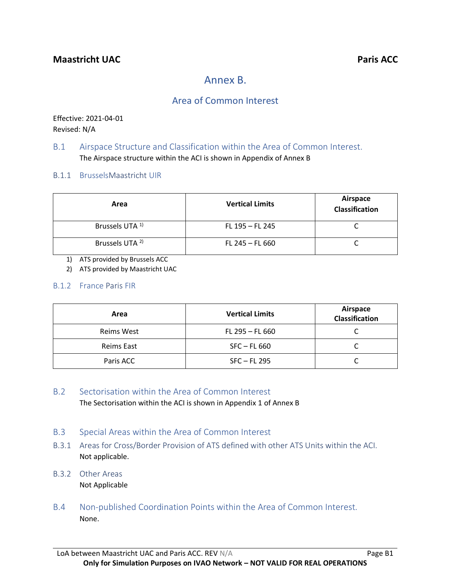# Annex B.

# Area of Common Interest

Effective: 2021-04-01 Revised: N/A

### B.1 Airspace Structure and Classification within the Area of Common Interest. The Airspace structure within the ACI is shown in Appendix of Annex B

B.1.1 BrusselsMaastricht UIR

| Area                       | <b>Vertical Limits</b> | Airspace<br>Classification |
|----------------------------|------------------------|----------------------------|
| Brussels UTA <sup>1)</sup> | FL 195 - FL 245        |                            |
| Brussels UTA <sup>2)</sup> | $FL 245 - FL 660$      |                            |

1) ATS provided by Brussels ACC

2) ATS provided by Maastricht UAC

### B.1.2 France Paris FIR

| Area       | <b>Vertical Limits</b> | Airspace<br><b>Classification</b> |
|------------|------------------------|-----------------------------------|
| Reims West | $FL 295 - FL 660$      |                                   |
| Reims East | $SFC - FL 660$         |                                   |
| Paris ACC  | $SFC - FL 295$         |                                   |

### B.2 Sectorisation within the Area of Common Interest

The Sectorisation within the ACI is shown in Appendix 1 of Annex B

- B.3 Special Areas within the Area of Common Interest
- B.3.1 Areas for Cross/Border Provision of ATS defined with other ATS Units within the ACI. Not applicable.
- B.3.2 Other Areas Not Applicable
- B.4 Non-published Coordination Points within the Area of Common Interest. None.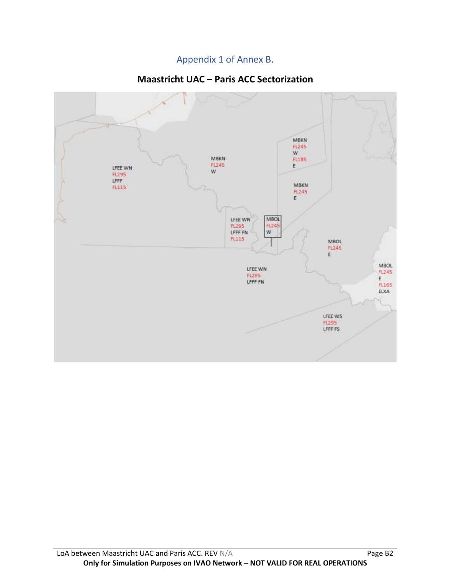# Appendix 1 of Annex B.

# **Maastricht UAC – Paris ACC Sectorization**

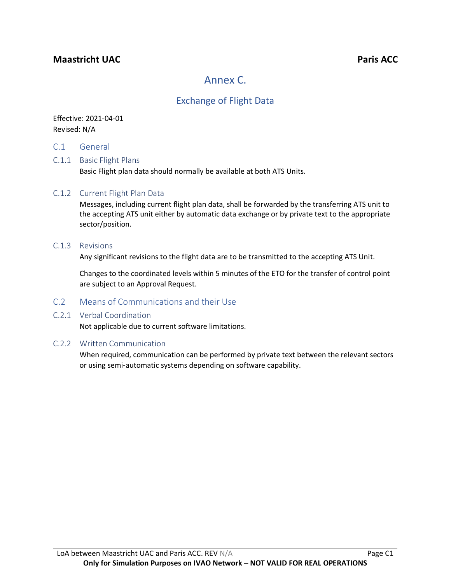## **Maastricht UAC Paris ACC**

# Annex C.

# Exchange of Flight Data

### Effective: 2021-04-01 Revised: N/A

C.1 General

### C.1.1 Basic Flight Plans

Basic Flight plan data should normally be available at both ATS Units.

### C.1.2 Current Flight Plan Data

Messages, including current flight plan data, shall be forwarded by the transferring ATS unit to the accepting ATS unit either by automatic data exchange or by private text to the appropriate sector/position.

#### C.1.3 Revisions

Any significant revisions to the flight data are to be transmitted to the accepting ATS Unit.

Changes to the coordinated levels within 5 minutes of the ETO for the transfer of control point are subject to an Approval Request.

### C.2 Means of Communications and their Use

### C.2.1 Verbal Coordination

Not applicable due to current software limitations.

### C.2.2 Written Communication

When required, communication can be performed by private text between the relevant sectors or using semi-automatic systems depending on software capability.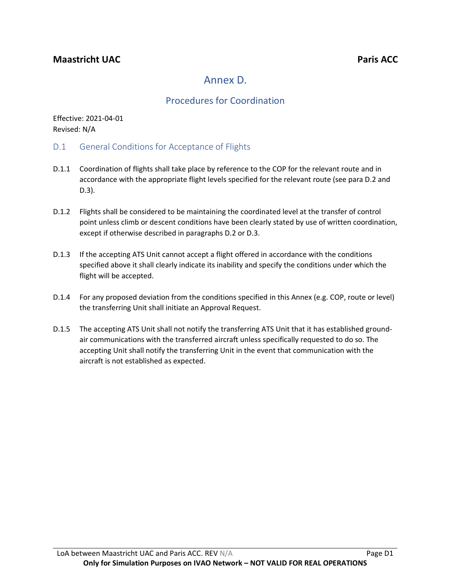# Annex D.

# Procedures for Coordination

Effective: 2021-04-01 Revised: N/A

- D.1 General Conditions for Acceptance of Flights
- D.1.1 Coordination of flights shall take place by reference to the COP for the relevant route and in accordance with the appropriate flight levels specified for the relevant route (see para D.2 and D.3).
- D.1.2 Flights shall be considered to be maintaining the coordinated level at the transfer of control point unless climb or descent conditions have been clearly stated by use of written coordination, except if otherwise described in paragraphs D.2 or D.3.
- D.1.3 If the accepting ATS Unit cannot accept a flight offered in accordance with the conditions specified above it shall clearly indicate its inability and specify the conditions under which the flight will be accepted.
- D.1.4 For any proposed deviation from the conditions specified in this Annex (e.g. COP, route or level) the transferring Unit shall initiate an Approval Request.
- D.1.5 The accepting ATS Unit shall not notify the transferring ATS Unit that it has established groundair communications with the transferred aircraft unless specifically requested to do so. The accepting Unit shall notify the transferring Unit in the event that communication with the aircraft is not established as expected.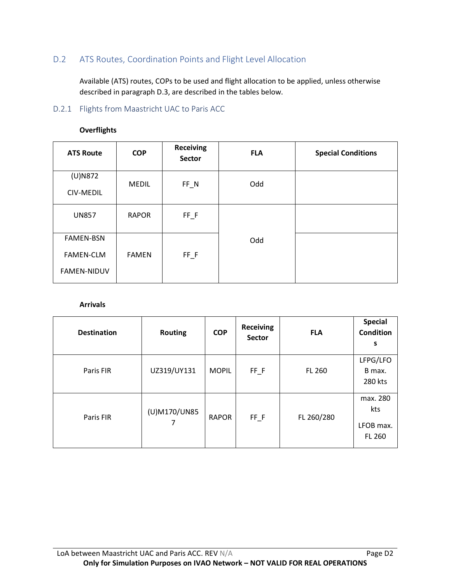### D.2 ATS Routes, Coordination Points and Flight Level Allocation

Available (ATS) routes, COPs to be used and flight allocation to be applied, unless otherwise described in paragraph D.3, are described in the tables below.

### D.2.1 Flights from Maastricht UAC to Paris ACC

| <b>ATS Route</b>                                           | <b>COP</b>   | <b>Receiving</b><br><b>Sector</b> | <b>FLA</b> | <b>Special Conditions</b> |
|------------------------------------------------------------|--------------|-----------------------------------|------------|---------------------------|
| $(U)$ N872<br>CIV-MEDIL                                    | <b>MEDIL</b> | $FF_N$                            | Odd        |                           |
| <b>UN857</b>                                               | <b>RAPOR</b> | $FF_F$                            |            |                           |
| <b>FAMEN-BSN</b><br><b>FAMEN-CLM</b><br><b>FAMEN-NIDUV</b> | <b>FAMEN</b> | $FF_F$                            | Odd        |                           |

#### **Overflights**

### **Arrivals**

| <b>Destination</b> | <b>Routing</b> | <b>COP</b>   | <b>Receiving</b><br><b>Sector</b> | <b>FLA</b>    | <b>Special</b><br><b>Condition</b><br>S       |
|--------------------|----------------|--------------|-----------------------------------|---------------|-----------------------------------------------|
| Paris FIR          | UZ319/UY131    | <b>MOPIL</b> | $FF$ $F$                          | <b>FL 260</b> | LFPG/LFO<br>B max.<br>280 kts                 |
| Paris FIR          | (U)M170/UN85   | <b>RAPOR</b> | $FF_F$                            | FL 260/280    | max. 280<br>kts<br>LFOB max.<br><b>FL 260</b> |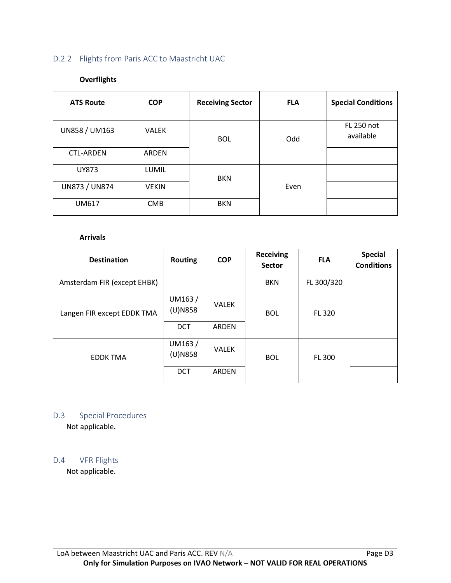### D.2.2 Flights from Paris ACC to Maastricht UAC

### **Overflights**

| <b>ATS Route</b> | <b>COP</b>   | <b>Receiving Sector</b> | <b>FLA</b> | <b>Special Conditions</b> |
|------------------|--------------|-------------------------|------------|---------------------------|
| UN858 / UM163    | <b>VALEK</b> | <b>BOL</b>              | Odd        | FL 250 not<br>available   |
| <b>CTL-ARDEN</b> | ARDEN        |                         |            |                           |
| <b>UY873</b>     | <b>LUMIL</b> | <b>BKN</b>              |            |                           |
| UN873 / UN874    | <b>VEKIN</b> |                         | Even       |                           |
| <b>UM617</b>     | <b>CMB</b>   | <b>BKN</b>              |            |                           |

#### **Arrivals**

| <b>Destination</b>          | <b>Routing</b>       | <b>COP</b>   | <b>Receiving</b><br><b>Sector</b> | <b>FLA</b> | <b>Special</b><br><b>Conditions</b> |
|-----------------------------|----------------------|--------------|-----------------------------------|------------|-------------------------------------|
| Amsterdam FIR (except EHBK) |                      |              | <b>BKN</b>                        | FL 300/320 |                                     |
| Langen FIR except EDDK TMA  | UM163/<br>(U)N858    | <b>VALEK</b> | <b>BOL</b>                        | FL 320     |                                     |
|                             | <b>DCT</b>           | ARDEN        |                                   |            |                                     |
| <b>EDDK TMA</b>             | UM163/<br>$(U)$ N858 | <b>VALEK</b> | <b>BOL</b>                        | FL 300     |                                     |
|                             | <b>DCT</b>           | ARDEN        |                                   |            |                                     |

# D.3 Special Procedures

Not applicable.

### D.4 VFR Flights

Not applicable.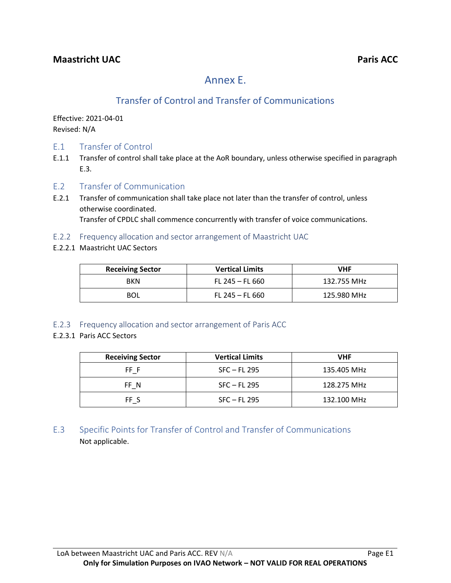# Annex E.

# Transfer of Control and Transfer of Communications

Effective: 2021-04-01 Revised: N/A

- E.1 Transfer of Control
- E.1.1 Transfer of control shall take place at the AoR boundary, unless otherwise specified in paragraph E.3.
- E.2 Transfer of Communication
- E.2.1 Transfer of communication shall take place not later than the transfer of control, unless otherwise coordinated. Transfer of CPDLC shall commence concurrently with transfer of voice communications.
- E.2.2 Frequency allocation and sector arrangement of Maastricht UAC
- E.2.2.1 Maastricht UAC Sectors

| <b>Receiving Sector</b> | <b>Vertical Limits</b> | VHF         |
|-------------------------|------------------------|-------------|
| <b>BKN</b>              | FL 245 – FL 660        | 132.755 MHz |
| <b>BOL</b>              | FL 245 – FL 660        | 125.980 MHz |

E.2.3 Frequency allocation and sector arrangement of Paris ACC

### E.2.3.1 Paris ACC Sectors

| <b>Receiving Sector</b> | <b>Vertical Limits</b> | VHF         |
|-------------------------|------------------------|-------------|
| FF F                    | $SFC$ – FL 295         | 135.405 MHz |
| FF N                    | $SFC - FL 295$         | 128.275 MHz |
| FF S                    | $SFC$ – FL 295         | 132.100 MHz |

E.3 Specific Points for Transfer of Control and Transfer of Communications Not applicable.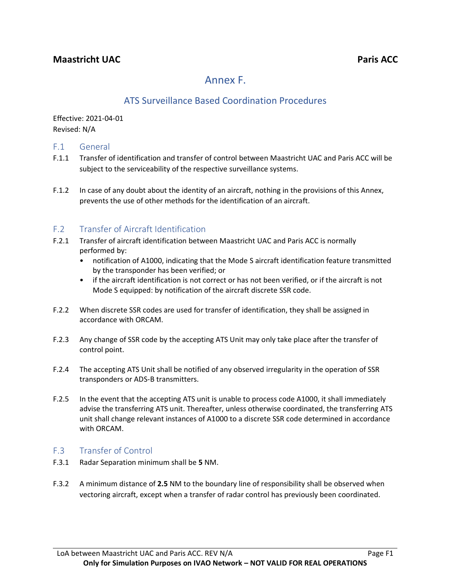# Annex F.

# ATS Surveillance Based Coordination Procedures

Effective: 2021-04-01 Revised: N/A

### F.1 General

- F.1.1 Transfer of identification and transfer of control between Maastricht UAC and Paris ACC will be subject to the serviceability of the respective surveillance systems.
- F.1.2 In case of any doubt about the identity of an aircraft, nothing in the provisions of this Annex, prevents the use of other methods for the identification of an aircraft.

### F.2 Transfer of Aircraft Identification

- F.2.1 Transfer of aircraft identification between Maastricht UAC and Paris ACC is normally performed by:
	- notification of A1000, indicating that the Mode S aircraft identification feature transmitted by the transponder has been verified; or
	- if the aircraft identification is not correct or has not been verified, or if the aircraft is not Mode S equipped: by notification of the aircraft discrete SSR code.
- F.2.2 When discrete SSR codes are used for transfer of identification, they shall be assigned in accordance with ORCAM.
- F.2.3 Any change of SSR code by the accepting ATS Unit may only take place after the transfer of control point.
- F.2.4 The accepting ATS Unit shall be notified of any observed irregularity in the operation of SSR transponders or ADS-B transmitters.
- F.2.5 In the event that the accepting ATS unit is unable to process code A1000, it shall immediately advise the transferring ATS unit. Thereafter, unless otherwise coordinated, the transferring ATS unit shall change relevant instances of A1000 to a discrete SSR code determined in accordance with ORCAM.

### F.3 Transfer of Control

- F.3.1 Radar Separation minimum shall be **5** NM.
- F.3.2 A minimum distance of **2.5** NM to the boundary line of responsibility shall be observed when vectoring aircraft, except when a transfer of radar control has previously been coordinated.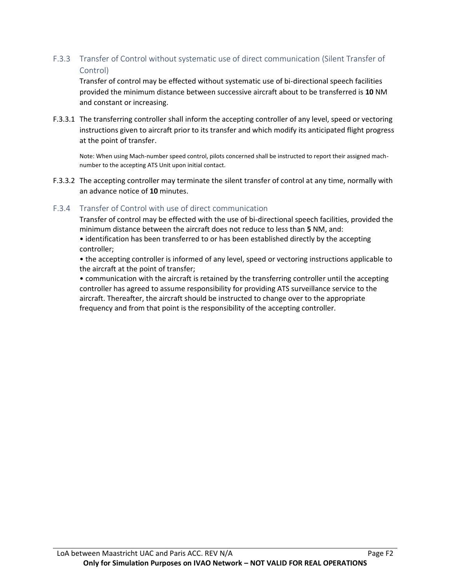### F.3.3 Transfer of Control without systematic use of direct communication (Silent Transfer of Control)

Transfer of control may be effected without systematic use of bi-directional speech facilities provided the minimum distance between successive aircraft about to be transferred is **10** NM and constant or increasing.

F.3.3.1 The transferring controller shall inform the accepting controller of any level, speed or vectoring instructions given to aircraft prior to its transfer and which modify its anticipated flight progress at the point of transfer.

Note: When using Mach-number speed control, pilots concerned shall be instructed to report their assigned machnumber to the accepting ATS Unit upon initial contact.

F.3.3.2 The accepting controller may terminate the silent transfer of control at any time, normally with an advance notice of **10** minutes.

### F.3.4 Transfer of Control with use of direct communication

Transfer of control may be effected with the use of bi-directional speech facilities, provided the minimum distance between the aircraft does not reduce to less than **5** NM, and:

• identification has been transferred to or has been established directly by the accepting controller;

• the accepting controller is informed of any level, speed or vectoring instructions applicable to the aircraft at the point of transfer;

• communication with the aircraft is retained by the transferring controller until the accepting controller has agreed to assume responsibility for providing ATS surveillance service to the aircraft. Thereafter, the aircraft should be instructed to change over to the appropriate frequency and from that point is the responsibility of the accepting controller.